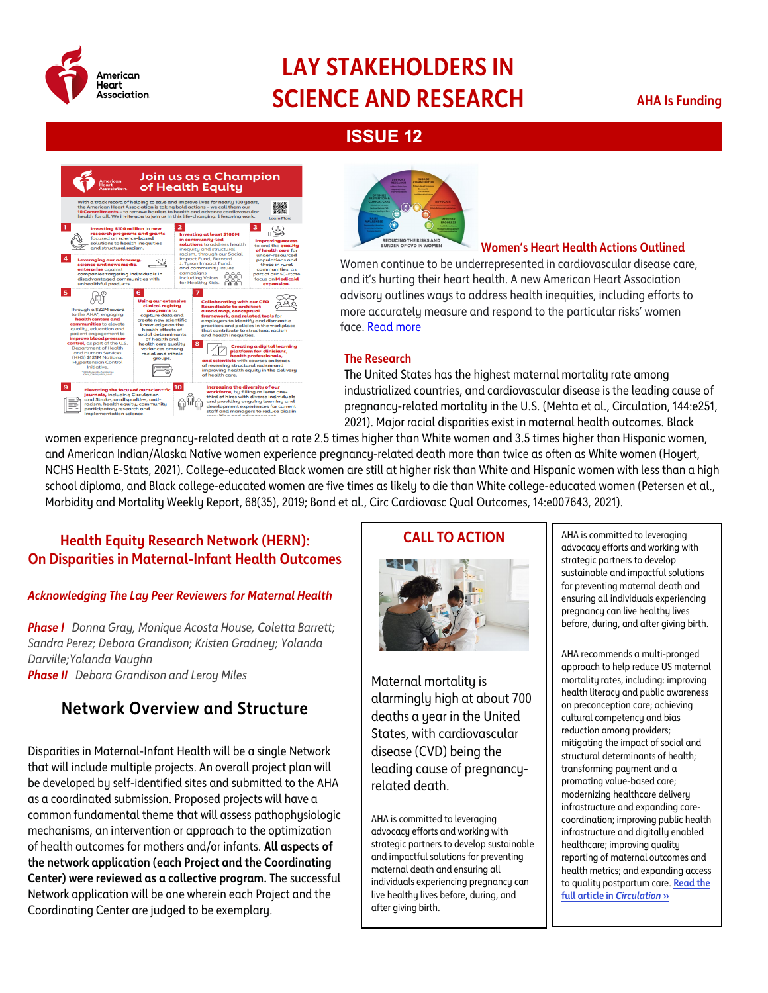

# **LAY STAKEHOLDERS IN SCIENCE AND RESEARCH**

### **AHA Is Funding**







#### **Women's Heart Health Actions Outlined**

Women continue to be underrepresented in cardiovascular disease care, and it's hurting their heart health. A new American Heart Association advisory outlines ways to address health inequities, including efforts to more accurately measure and respond to the particular risks' women face. [Read more](http://click.heartemail.org/?qs=17d585928fbd209e7d613531314da8222a01308456c67b5a0e17a80280756351c82338e6fba3ecf82ff0deb163b55ec020b3f057e062ff4c)

#### **The Research**

The United States has the highest maternal mortality rate among industrialized countries, and cardiovascular disease is the leading cause of pregnancy-related mortality in the U.S. (Mehta et al., Circulation, 144:e251, 2021). Major racial disparities exist in maternal health outcomes. Black

women experience pregnancy-related death at a rate 2.5 times higher than White women and 3.5 times higher than Hispanic women, and American Indian/Alaska Native women experience pregnancy-related death more than twice as often as White women (Hoyert, NCHS Health E-Stats, 2021). College-educated Black women are still at higher risk than White and Hispanic women with less than a high school diploma, and Black college-educated women are five times as likely to die than White college-educated women (Petersen et al., Morbidity and Mortality Weekly Report, 68(35), 2019; Bond et al., Circ Cardiovasc Qual Outcomes, 14:e007643, 2021).

### **Health Equity Research Network (HERN): On Disparities in Maternal-Infant Health Outcomes**

#### *Acknowledging The Lay Peer Reviewers for Maternal Health*

*Phase I Donna Gray, Monique Acosta House, Coletta Barrett; Sandra Perez; Debora Grandison; Kristen Gradney; Yolanda Darville;Yolanda Vaughn Phase II Debora Grandison and Leroy Miles*

## **Network Overview and Structure**

Disparities in Maternal-Infant Health will be a single Network that will include multiple projects. An overall project plan will be developed by self-identified sites and submitted to the AHA as a coordinated submission. Proposed projects will have a common fundamental theme that will assess pathophysiologic mechanisms, an intervention or approach to the optimization of health outcomes for mothers and/or infants. **All aspects of the network application (each Project and the Coordinating Center) were reviewed as a collective program.** The successful Network application will be one wherein each Project and the Coordinating Center are judged to be exemplary.



Maternal mortality is alarmingly high at about 700 deaths a year in the United States, with cardiovascular disease (CVD) being the leading cause of pregnancyrelated death.

AHA is committed to leveraging advocacy efforts and working with strategic partners to develop sustainable and impactful solutions for preventing maternal death and ensuring all individuals experiencing pregnancy can live healthy lives before, during, and after giving birth.

AHA is committed to leveraging advocacy efforts and working with strategic partners to develop sustainable and impactful solutions for preventing maternal death and ensuring all individuals experiencing pregnancy can live healthy lives before, during, and after giving birth.

AHA recommends a multi-pronged approach to help reduce US maternal mortality rates, including: improving health literacy and public awareness on preconception care; achieving cultural competency and bias reduction among providers; mitigating the impact of social and structural determinants of health; transforming payment and a promoting value-based care; modernizing healthcare delivery infrastructure and expanding carecoordination; improving public health infrastructure and digitally enabled healthcare; improving quality reporting of maternal outcomes and health metrics; and expanding access to quality postpartum care. **[Read the](https://www.ahajournals.org/doi/10.1161/CIR.0000000000001000?utm_campaign=sciencenews21-22&utm_source=science-news&utm_medium=phd-link&utm_content=phd-09-08-21)  [full article in](https://www.ahajournals.org/doi/10.1161/CIR.0000000000001000?utm_campaign=sciencenews21-22&utm_source=science-news&utm_medium=phd-link&utm_content=phd-09-08-21)** *Circulation* **»**